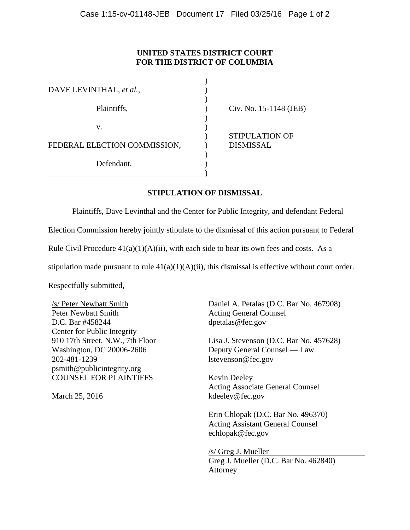## **UNITED STATES DISTRICT COURT FOR THE DISTRICT OF COLUMBIA**

| Plaintiffs,                  |
|------------------------------|
|                              |
| $V_{-}$                      |
| FEDERAL ELECTION COMMISSION, |
| Defendant.                   |

Civ. No. 15-1148 (JEB)

 ) STIPULATION OF DISMISSAL

## **STIPULATION OF DISMISSAL**

Plaintiffs, Dave Levinthal and the Center for Public Integrity, and defendant Federal

Election Commission hereby jointly stipulate to the dismissal of this action pursuant to Federal

Rule Civil Procedure  $41(a)(1)(A)(ii)$ , with each side to bear its own fees and costs. As a

stipulation made pursuant to rule  $41(a)(1)(A)(ii)$ , this dismissal is effective without court order.

Respectfully submitted,

 $\overline{a}$ 

/s/ Peter Newbatt Smith Peter Newbatt Smith D.C. Bar #458244 Center for Public Integrity 910 17th Street, N.W., 7th Floor Washington, DC 20006-2606 202-481-1239 psmith@publicintegrity.org COUNSEL FOR PLAINTIFFS

March 25, 2016

Daniel A. Petalas (D.C. Bar No. 467908) Acting General Counsel dpetalas@fec.gov

Lisa J. Stevenson (D.C. Bar No. 457628) Deputy General Counsel — Law lstevenson@fec.gov

Kevin Deeley Acting Associate General Counsel kdeeley@fec.gov

Erin Chlopak (D.C. Bar No. 496370) Acting Assistant General Counsel echlopak@fec.gov

/s/ Greg J. Mueller Greg J. Mueller (D.C. Bar No. 462840) Attorney